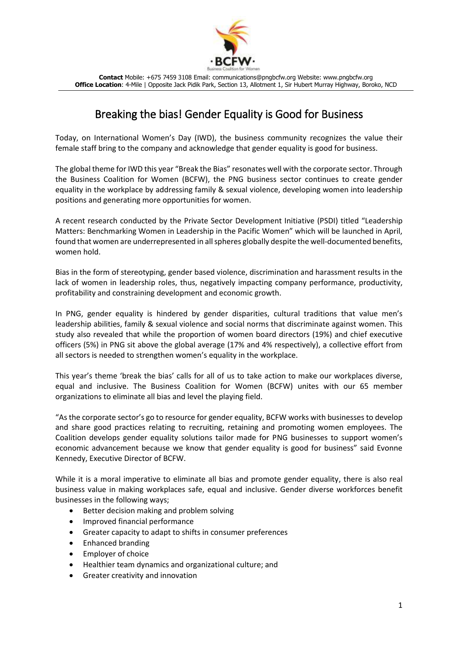

**Contact** Mobile: +675 7459 3108 Email: communications@pngbcfw.org Website: www.pngbcfw.org **Office Location**: 4-Mile | Opposite Jack Pidik Park, Section 13, Allotment 1, Sir Hubert Murray Highway, Boroko, NCD

## Breaking the bias! Gender Equality is Good for Business

Today, on International Women's Day (IWD), the business community recognizes the value their female staff bring to the company and acknowledge that gender equality is good for business.

The global theme for IWD this year "Break the Bias" resonates well with the corporate sector. Through the Business Coalition for Women (BCFW), the PNG business sector continues to create gender equality in the workplace by addressing family & sexual violence, developing women into leadership positions and generating more opportunities for women.

A recent research conducted by the Private Sector Development Initiative (PSDI) titled "Leadership Matters: Benchmarking Women in Leadership in the Pacific Women" which will be launched in April, found that women are underrepresented in all spheres globally despite the well-documented benefits, women hold.

Bias in the form of stereotyping, gender based violence, discrimination and harassment results in the lack of women in leadership roles, thus, negatively impacting company performance, productivity, profitability and constraining development and economic growth.

In PNG, gender equality is hindered by gender disparities, cultural traditions that value men's leadership abilities, family & sexual violence and social norms that discriminate against women. This study also revealed that while the proportion of women board directors (19%) and chief executive officers (5%) in PNG sit above the global average (17% and 4% respectively), a collective effort from all sectors is needed to strengthen women's equality in the workplace.

This year's theme 'break the bias' calls for all of us to take action to make our workplaces diverse, equal and inclusive. The Business Coalition for Women (BCFW) unites with our 65 member organizations to eliminate all bias and level the playing field.

"As the corporate sector's go to resource for gender equality, BCFW works with businesses to develop and share good practices relating to recruiting, retaining and promoting women employees. The Coalition develops gender equality solutions tailor made for PNG businesses to support women's economic advancement because we know that gender equality is good for business" said Evonne Kennedy, Executive Director of BCFW.

While it is a moral imperative to eliminate all bias and promote gender equality, there is also real business value in making workplaces safe, equal and inclusive. Gender diverse workforces benefit businesses in the following ways;

- Better decision making and problem solving
- Improved financial performance
- Greater capacity to adapt to shifts in consumer preferences
- Enhanced branding
- Employer of choice
- Healthier team dynamics and organizational culture; and
- Greater creativity and innovation